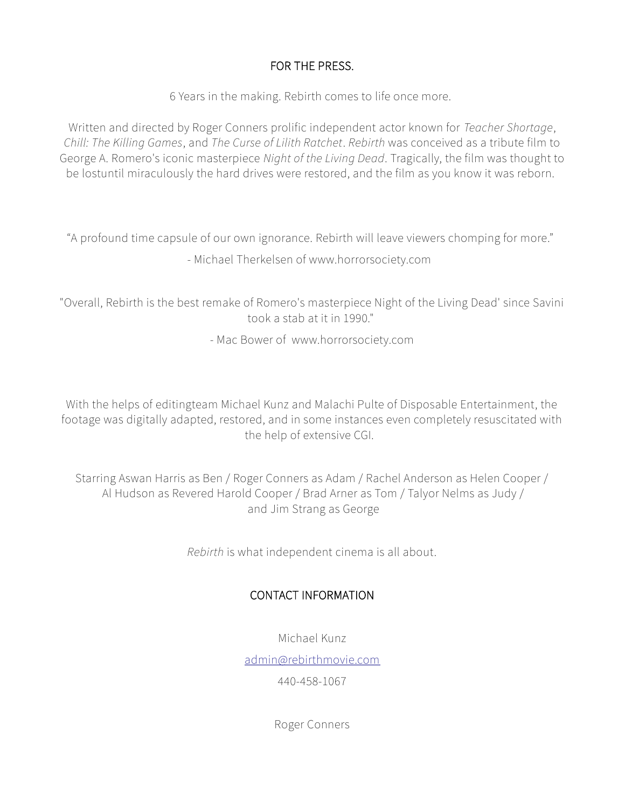## FOR THE PRESS.

6 Years in the making. Rebirth comes to life once more.

Written and directed by Roger Conners prolific independent actor known for *Teacher Shortage*, *Chill: The Killing Games*, and *The Curse of Lilith Ratchet*. *Rebirth* was conceived as a tribute film to George A. Romero's iconic masterpiece *Night of the Living Dead*. Tragically, the film was thought to be lostuntil miraculously the hard drives were restored, and the film as you know it was reborn.

"A profound time capsule of our own ignorance. Rebirth will leave viewers chomping for more." - Michael Therkelsen of www.horrorsociety.com

"Overall, Rebirth is the best remake of Romero's masterpiece Night of the Living Dead' since Savini took a stab at it in 1990."

- Mac Bower of www.horrorsociety.com

With the helps of editingteam Michael Kunz and Malachi Pulte of Disposable Entertainment, the footage was digitally adapted, restored, and in some instances even completely resuscitated with the help of extensive CGI.

Starring Aswan Harris as Ben / Roger Conners as Adam / Rachel Anderson as Helen Cooper / Al Hudson as Revered Harold Cooper / Brad Arner as Tom / Talyor Nelms as Judy / and Jim Strang as George

*Rebirth* is what independent cinema is all about.

## CONTACT INFORMATION

Michael Kunz

[admin@rebirthmovie.com](mailto:admin@rebirthmovie.com)

440-458-1067

Roger Conners